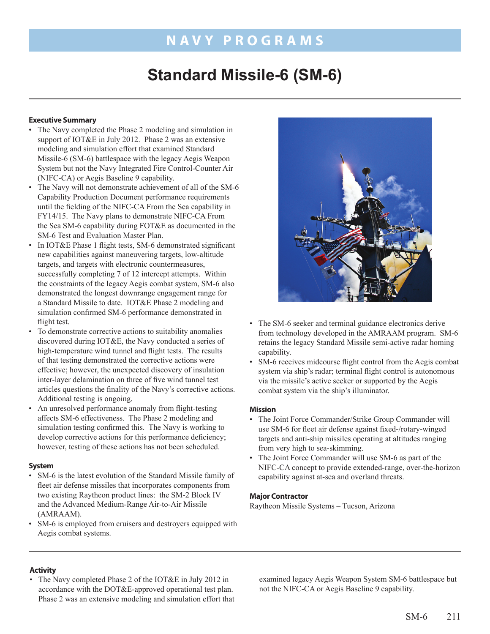## **Navy PROGR A M S**

# **Standard Missile-6 (SM-6)**

## **Executive Summary**

- The Navy completed the Phase 2 modeling and simulation in support of IOT&E in July 2012. Phase 2 was an extensive modeling and simulation effort that examined Standard Missile-6 (SM-6) battlespace with the legacy Aegis Weapon System but not the Navy Integrated Fire Control-Counter Air (NIFC-CA) or Aegis Baseline 9 capability.
- The Navy will not demonstrate achievement of all of the SM-6 Capability Production Document performance requirements until the fielding of the NIFC-CA From the Sea capability in FY14/15. The Navy plans to demonstrate NIFC-CA From the Sea SM-6 capability during FOT&E as documented in the SM-6 Test and Evaluation Master Plan.
- In IOT&E Phase 1 flight tests, SM-6 demonstrated significant new capabilities against maneuvering targets, low-altitude targets, and targets with electronic countermeasures, successfully completing 7 of 12 intercept attempts. Within the constraints of the legacy Aegis combat system, SM-6 also demonstrated the longest downrange engagement range for a Standard Missile to date. IOT&E Phase 2 modeling and simulation confirmed SM-6 performance demonstrated in flight test.
- To demonstrate corrective actions to suitability anomalies discovered during IOT&E, the Navy conducted a series of high-temperature wind tunnel and flight tests. The results of that testing demonstrated the corrective actions were effective; however, the unexpected discovery of insulation inter-layer delamination on three of five wind tunnel test articles questions the finality of the Navy's corrective actions. Additional testing is ongoing.
- An unresolved performance anomaly from flight-testing affects SM-6 effectiveness. The Phase 2 modeling and simulation testing confirmed this. The Navy is working to develop corrective actions for this performance deficiency; however, testing of these actions has not been scheduled.

## **System**

- SM-6 is the latest evolution of the Standard Missile family of fleet air defense missiles that incorporates components from two existing Raytheon product lines: the SM-2 Block IV and the Advanced Medium-Range Air-to-Air Missile (AMRAAM).
- SM-6 is employed from cruisers and destroyers equipped with Aegis combat systems.



- The SM-6 seeker and terminal guidance electronics derive from technology developed in the AMRAAM program. SM-6 retains the legacy Standard Missile semi-active radar homing capability.
- SM-6 receives midcourse flight control from the Aegis combat system via ship's radar; terminal flight control is autonomous via the missile's active seeker or supported by the Aegis combat system via the ship's illuminator.

## **Mission**

- The Joint Force Commander/Strike Group Commander will use SM-6 for fleet air defense against fixed-/rotary-winged targets and anti-ship missiles operating at altitudes ranging from very high to sea-skimming.
- The Joint Force Commander will use SM-6 as part of the NIFC-CA concept to provide extended-range, over-the-horizon capability against at-sea and overland threats.

#### **Major Contractor**

Raytheon Missile Systems – Tucson, Arizona

## **Activity**

• The Navy completed Phase 2 of the IOT&E in July 2012 in accordance with the DOT&E-approved operational test plan. Phase 2 was an extensive modeling and simulation effort that examined legacy Aegis Weapon System SM-6 battlespace but not the NIFC-CA or Aegis Baseline 9 capability.